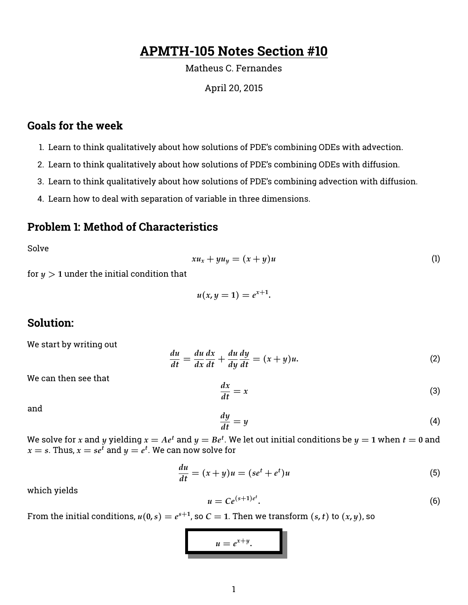# **APMTH-105 Notes Section #10**

#### Matheus C. Fernandes

#### April 20, 2015

## **Goals for the week**

- 1. Learn to think qualitatively about how solutions of PDE's combining ODEs with advection.
- 2. Learn to think qualitatively about how solutions of PDE's combining ODEs with diffusion.
- 3. Learn to think qualitatively about how solutions of PDE's combining advection with diffusion.
- 4. Learn how to deal with separation of variable in three dimensions.

### **Problem 1: Method of Characteristics**

Solve

$$
xu_x + yu_y = (x+y)u \tag{1}
$$

for  $y > 1$  under the initial condition that

$$
u(x,y=1)=e^{x+1}
$$

**.**

#### **Solution:**

We start by writing out

$$
\frac{du}{dt} = \frac{du}{dx}\frac{dx}{dt} + \frac{du}{dy}\frac{dy}{dt} = (x+y)u.
$$
\n(2)

We can then see that

$$
\frac{dx}{dt} = x \tag{3}
$$

and

$$
\frac{dy}{dt} = y \tag{4}
$$

We solve for  $x$  and  $y$  yielding  $x = Ae^t$  and  $y = Be^t$ . We let out initial conditions be  $y = \mathbb{1}$  when  $t = \mathbb{0}$  and  $x = s$ . Thus,  $x = se^t$  and  $y = e^t$ . We can now solve for

$$
\frac{du}{dt} = (x+y)u = (se^t + e^t)u\tag{5}
$$

which yields

$$
u = Ce^{(s+1)e^t}.\tag{6}
$$

From the initial conditions,  $u(0,s) = e^{s+1}$ , so  $C = 1$ . Then we transform  $(s,t)$  to  $(x,y)$ , so

$$
u=e^{x+y}.
$$